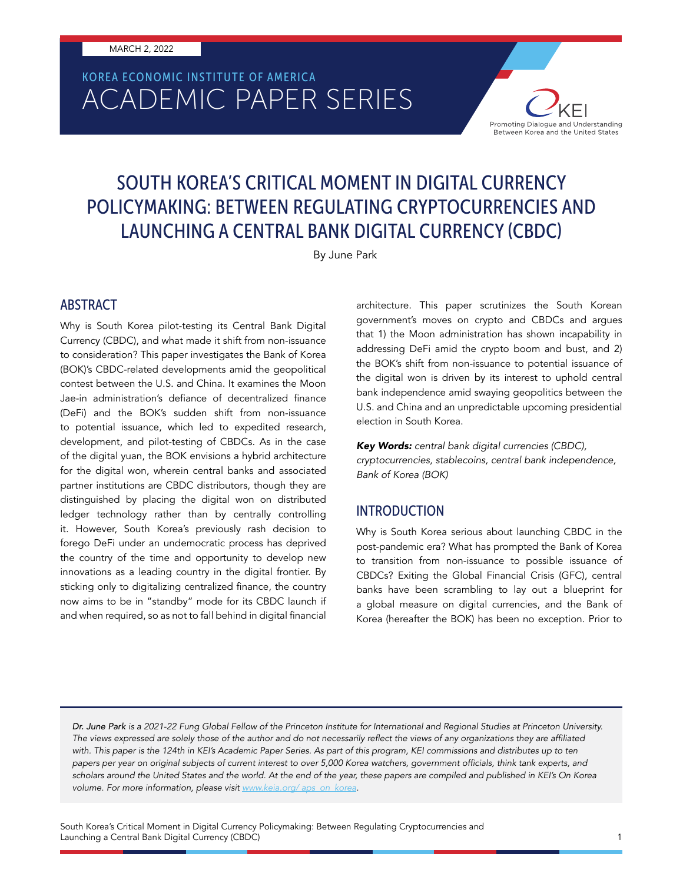# ACADEMIC PAPER SERIES KOREA ECONOMIC INSTITUTE OF AMERICA

## SOUTH KOREA'S CRITICAL MOMENT IN DIGITAL CURRENCY POLICYMAKING: BETWEEN REGULATING CRYPTOCURRENCIES AND LAUNCHING A CENTRAL BANK DIGITAL CURRENCY (CBDC)

By June Park

#### ABSTRACT

Why is South Korea pilot-testing its Central Bank Digital Currency (CBDC), and what made it shift from non-issuance to consideration? This paper investigates the Bank of Korea (BOK)'s CBDC-related developments amid the geopolitical contest between the U.S. and China. It examines the Moon Jae-in administration's defiance of decentralized finance (DeFi) and the BOK's sudden shift from non-issuance to potential issuance, which led to expedited research, development, and pilot-testing of CBDCs. As in the case of the digital yuan, the BOK envisions a hybrid architecture for the digital won, wherein central banks and associated partner institutions are CBDC distributors, though they are distinguished by placing the digital won on distributed ledger technology rather than by centrally controlling it. However, South Korea's previously rash decision to forego DeFi under an undemocratic process has deprived the country of the time and opportunity to develop new innovations as a leading country in the digital frontier. By sticking only to digitalizing centralized finance, the country now aims to be in "standby" mode for its CBDC launch if and when required, so as not to fall behind in digital financial architecture. This paper scrutinizes the South Korean government's moves on crypto and CBDCs and argues that 1) the Moon administration has shown incapability in addressing DeFi amid the crypto boom and bust, and 2) the BOK's shift from non-issuance to potential issuance of the digital won is driven by its interest to uphold central bank independence amid swaying geopolitics between the U.S. and China and an unpredictable upcoming presidential election in South Korea.

Promoting Dialogue and Understanding Between Korea and the United States

*Key Words: central bank digital currencies (CBDC), cryptocurrencies, stablecoins, central bank independence, Bank of Korea (BOK)*

#### INTRODUCTION

Why is South Korea serious about launching CBDC in the post-pandemic era? What has prompted the Bank of Korea to transition from non-issuance to possible issuance of CBDCs? Exiting the Global Financial Crisis (GFC), central banks have been scrambling to lay out a blueprint for a global measure on digital currencies, and the Bank of Korea (hereafter the BOK) has been no exception. Prior to

*Dr. June Park is a 2021-22 Fung Global Fellow of the Princeton Institute for International and Regional Studies at Princeton University.*  The views expressed are solely those of the author and do not necessarily reflect the views of any organizations they are affiliated with. This paper is the 124th in KEI's Academic Paper Series. As part of this program, KEI commissions and distributes up to ten papers per year on original subjects of current interest to over 5,000 Korea watchers, government officials, think tank experts, and *scholars around the United States and the world. At the end of the year, these papers are compiled and published in KEI's On Korea volume. For more information, please visit* www.keia.org/ aps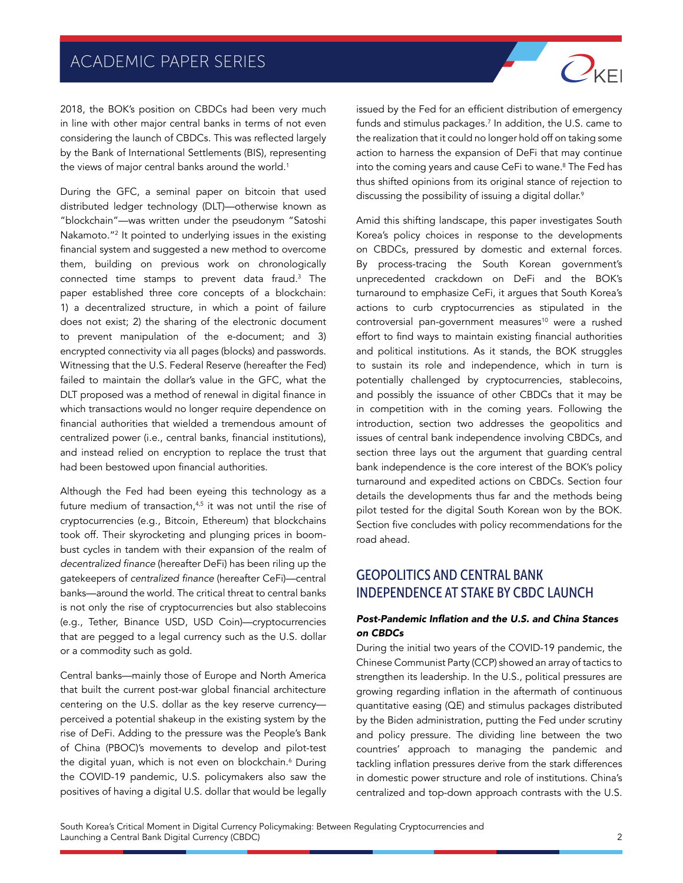2018, the BOK's position on CBDCs had been very much in line with other major central banks in terms of not even considering the launch of CBDCs. This was reflected largely by the Bank of International Settlements (BIS), representing the views of major central banks around the world.<sup>1</sup>

During the GFC, a seminal paper on bitcoin that used distributed ledger technology (DLT)—otherwise known as "blockchain"—was written under the pseudonym "Satoshi Nakamoto."<sup>2</sup> It pointed to underlying issues in the existing financial system and suggested a new method to overcome them, building on previous work on chronologically connected time stamps to prevent data fraud.3 The paper established three core concepts of a blockchain: 1) a decentralized structure, in which a point of failure does not exist; 2) the sharing of the electronic document to prevent manipulation of the e-document; and 3) encrypted connectivity via all pages (blocks) and passwords. Witnessing that the U.S. Federal Reserve (hereafter the Fed) failed to maintain the dollar's value in the GFC, what the DLT proposed was a method of renewal in digital finance in which transactions would no longer require dependence on financial authorities that wielded a tremendous amount of centralized power (i.e., central banks, financial institutions), and instead relied on encryption to replace the trust that had been bestowed upon financial authorities.

Although the Fed had been eyeing this technology as a future medium of transaction, $4,5$  it was not until the rise of cryptocurrencies (e.g., Bitcoin, Ethereum) that blockchains took off. Their skyrocketing and plunging prices in boombust cycles in tandem with their expansion of the realm of decentralized finance (hereafter DeFi) has been riling up the gatekeepers of centralized finance (hereafter CeFi)—central banks—around the world. The critical threat to central banks is not only the rise of cryptocurrencies but also stablecoins (e.g., Tether, Binance USD, USD Coin)—cryptocurrencies that are pegged to a legal currency such as the U.S. dollar or a commodity such as gold.

Central banks—mainly those of Europe and North America that built the current post-war global financial architecture centering on the U.S. dollar as the key reserve currency perceived a potential shakeup in the existing system by the rise of DeFi. Adding to the pressure was the People's Bank of China (PBOC)'s movements to develop and pilot-test the digital yuan, which is not even on blockchain.<sup>6</sup> During the COVID-19 pandemic, U.S. policymakers also saw the positives of having a digital U.S. dollar that would be legally

issued by the Fed for an efficient distribution of emergency funds and stimulus packages. $^7$  In addition, the U.S. came to the realization that it could no longer hold off on taking some action to harness the expansion of DeFi that may continue into the coming years and cause CeFi to wane.8 The Fed has thus shifted opinions from its original stance of rejection to discussing the possibility of issuing a digital dollar.<sup>9</sup>

 $O_{\text{KE}}$ 

Amid this shifting landscape, this paper investigates South Korea's policy choices in response to the developments on CBDCs, pressured by domestic and external forces. By process-tracing the South Korean government's unprecedented crackdown on DeFi and the BOK's turnaround to emphasize CeFi, it argues that South Korea's actions to curb cryptocurrencies as stipulated in the controversial pan-government measures<sup>10</sup> were a rushed effort to find ways to maintain existing financial authorities and political institutions. As it stands, the BOK struggles to sustain its role and independence, which in turn is potentially challenged by cryptocurrencies, stablecoins, and possibly the issuance of other CBDCs that it may be in competition with in the coming years. Following the introduction, section two addresses the geopolitics and issues of central bank independence involving CBDCs, and section three lays out the argument that guarding central bank independence is the core interest of the BOK's policy turnaround and expedited actions on CBDCs. Section four details the developments thus far and the methods being pilot tested for the digital South Korean won by the BOK. Section five concludes with policy recommendations for the road ahead.

#### GEOPOLITICS AND CENTRAL BANK INDEPENDENCE AT STAKE BY CBDC LAUNCH

#### Post-Pandemic Inflation and the U.S. and China Stances on CBDCs

During the initial two years of the COVID-19 pandemic, the Chinese Communist Party (CCP) showed an array of tactics to strengthen its leadership. In the U.S., political pressures are growing regarding inflation in the aftermath of continuous quantitative easing (QE) and stimulus packages distributed by the Biden administration, putting the Fed under scrutiny and policy pressure. The dividing line between the two countries' approach to managing the pandemic and tackling inflation pressures derive from the stark differences in domestic power structure and role of institutions. China's centralized and top-down approach contrasts with the U.S.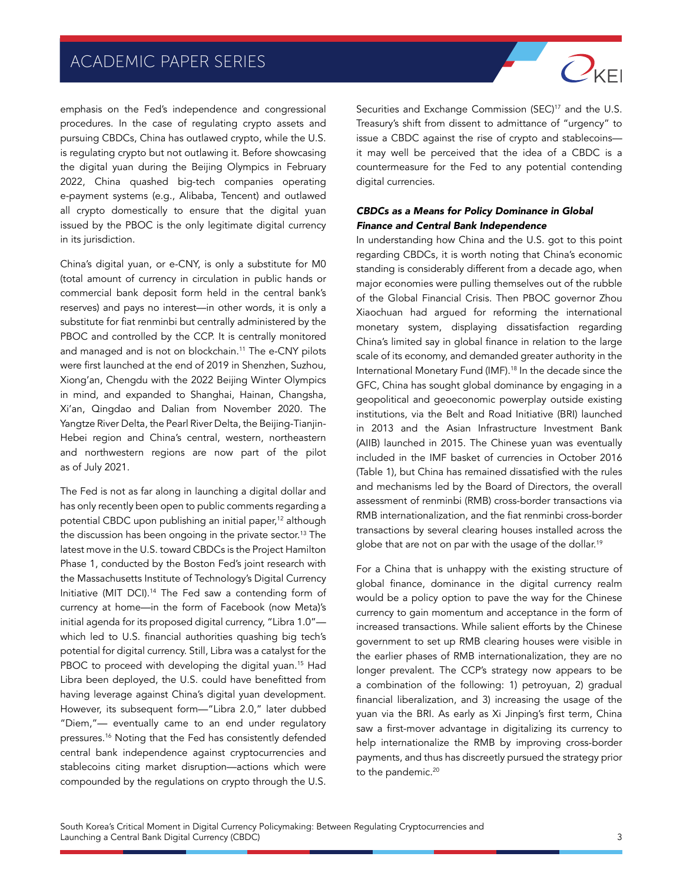

China's digital yuan, or e-CNY, is only a substitute for M0 (total amount of currency in circulation in public hands or commercial bank deposit form held in the central bank's reserves) and pays no interest—in other words, it is only a substitute for fiat renminbi but centrally administered by the PBOC and controlled by the CCP. It is centrally monitored and managed and is not on blockchain.11 The e-CNY pilots were first launched at the end of 2019 in Shenzhen, Suzhou, Xiong'an, Chengdu with the 2022 Beijing Winter Olympics in mind, and expanded to Shanghai, Hainan, Changsha, Xi'an, Qingdao and Dalian from November 2020. The Yangtze River Delta, the Pearl River Delta, the Beijing-Tianjin-Hebei region and China's central, western, northeastern and northwestern regions are now part of the pilot as of July 2021.

The Fed is not as far along in launching a digital dollar and has only recently been open to public comments regarding a potential CBDC upon publishing an initial paper,<sup>12</sup> although the discussion has been ongoing in the private sector.<sup>13</sup> The latest move in the U.S. toward CBDCs is the Project Hamilton Phase 1, conducted by the Boston Fed's joint research with the Massachusetts Institute of Technology's Digital Currency Initiative (MIT DCI).14 The Fed saw a contending form of currency at home—in the form of Facebook (now Meta)'s initial agenda for its proposed digital currency, "Libra 1.0" which led to U.S. financial authorities quashing big tech's potential for digital currency. Still, Libra was a catalyst for the PBOC to proceed with developing the digital yuan.<sup>15</sup> Had Libra been deployed, the U.S. could have benefitted from having leverage against China's digital yuan development. However, its subsequent form—"Libra 2.0," later dubbed "Diem,"— eventually came to an end under regulatory pressures.16 Noting that the Fed has consistently defended central bank independence against cryptocurrencies and stablecoins citing market disruption—actions which were compounded by the regulations on crypto through the U.S.

Securities and Exchange Commission (SEC)<sup>17</sup> and the U.S. Treasury's shift from dissent to admittance of "urgency" to issue a CBDC against the rise of crypto and stablecoins it may well be perceived that the idea of a CBDC is a countermeasure for the Fed to any potential contending digital currencies.

 $O_{\text{KE}}$ 

#### CBDCs as a Means for Policy Dominance in Global Finance and Central Bank Independence

In understanding how China and the U.S. got to this point regarding CBDCs, it is worth noting that China's economic standing is considerably different from a decade ago, when major economies were pulling themselves out of the rubble of the Global Financial Crisis. Then PBOC governor Zhou Xiaochuan had argued for reforming the international monetary system, displaying dissatisfaction regarding China's limited say in global finance in relation to the large scale of its economy, and demanded greater authority in the International Monetary Fund (IMF).18 In the decade since the GFC, China has sought global dominance by engaging in a geopolitical and geoeconomic powerplay outside existing institutions, via the Belt and Road Initiative (BRI) launched in 2013 and the Asian Infrastructure Investment Bank (AIIB) launched in 2015. The Chinese yuan was eventually included in the IMF basket of currencies in October 2016 (Table 1), but China has remained dissatisfied with the rules and mechanisms led by the Board of Directors, the overall assessment of renminbi (RMB) cross-border transactions via RMB internationalization, and the fiat renminbi cross-border transactions by several clearing houses installed across the globe that are not on par with the usage of the dollar.<sup>19</sup>

For a China that is unhappy with the existing structure of global finance, dominance in the digital currency realm would be a policy option to pave the way for the Chinese currency to gain momentum and acceptance in the form of increased transactions. While salient efforts by the Chinese government to set up RMB clearing houses were visible in the earlier phases of RMB internationalization, they are no longer prevalent. The CCP's strategy now appears to be a combination of the following: 1) petroyuan, 2) gradual financial liberalization, and 3) increasing the usage of the yuan via the BRI. As early as Xi Jinping's first term, China saw a first-mover advantage in digitalizing its currency to help internationalize the RMB by improving cross-border payments, and thus has discreetly pursued the strategy prior to the pandemic.<sup>20</sup>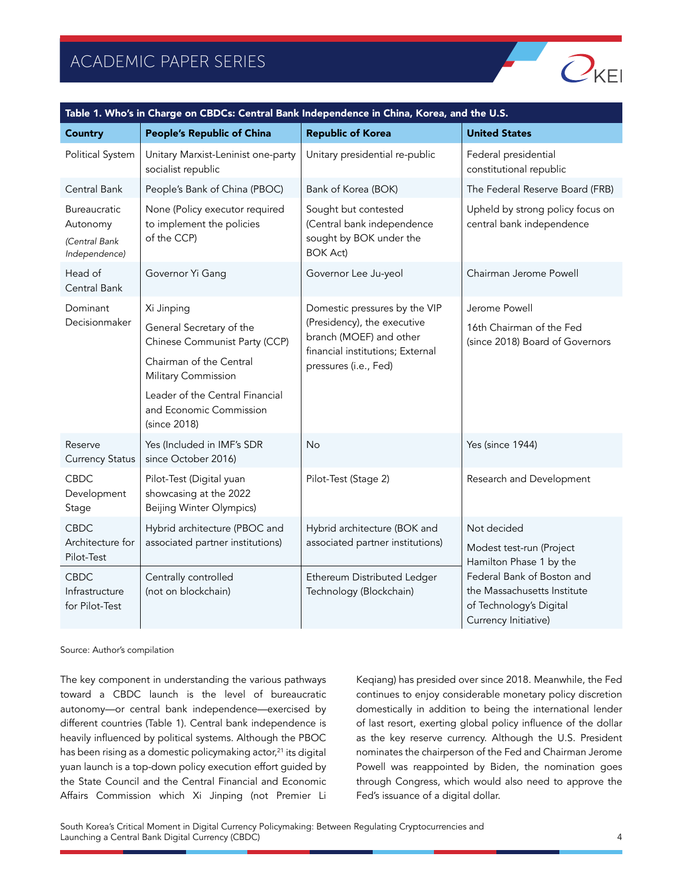

| Table 1. Who's in Charge on CBDCs: Central Bank Independence in China, Korea, and the U.S. |                                                                                                                                                                                                         |                                                                                                                                                      |                                                                                                                                                                                    |  |  |
|--------------------------------------------------------------------------------------------|---------------------------------------------------------------------------------------------------------------------------------------------------------------------------------------------------------|------------------------------------------------------------------------------------------------------------------------------------------------------|------------------------------------------------------------------------------------------------------------------------------------------------------------------------------------|--|--|
| <b>Country</b>                                                                             | <b>People's Republic of China</b>                                                                                                                                                                       | <b>Republic of Korea</b>                                                                                                                             | <b>United States</b>                                                                                                                                                               |  |  |
| Political System                                                                           | Unitary Marxist-Leninist one-party<br>socialist republic                                                                                                                                                | Unitary presidential re-public                                                                                                                       | Federal presidential<br>constitutional republic                                                                                                                                    |  |  |
| Central Bank                                                                               | People's Bank of China (PBOC)                                                                                                                                                                           | Bank of Korea (BOK)                                                                                                                                  | The Federal Reserve Board (FRB)                                                                                                                                                    |  |  |
| Bureaucratic<br>Autonomy<br>(Central Bank<br>Independence)                                 | None (Policy executor required<br>to implement the policies<br>of the CCP)                                                                                                                              | Sought but contested<br>(Central bank independence<br>sought by BOK under the<br><b>BOK Act)</b>                                                     | Upheld by strong policy focus on<br>central bank independence                                                                                                                      |  |  |
| Head of<br>Central Bank                                                                    | Governor Yi Gang                                                                                                                                                                                        | Governor Lee Ju-yeol                                                                                                                                 | Chairman Jerome Powell                                                                                                                                                             |  |  |
| Dominant<br>Decisionmaker                                                                  | Xi Jinping<br>General Secretary of the<br>Chinese Communist Party (CCP)<br>Chairman of the Central<br>Military Commission<br>Leader of the Central Financial<br>and Economic Commission<br>(since 2018) | Domestic pressures by the VIP<br>(Presidency), the executive<br>branch (MOEF) and other<br>financial institutions; External<br>pressures (i.e., Fed) | Jerome Powell<br>16th Chairman of the Fed<br>(since 2018) Board of Governors                                                                                                       |  |  |
| Reserve<br><b>Currency Status</b>                                                          | Yes (Included in IMF's SDR<br>since October 2016)                                                                                                                                                       | <b>No</b>                                                                                                                                            | Yes (since 1944)                                                                                                                                                                   |  |  |
| <b>CBDC</b><br>Development<br>Stage                                                        | Pilot-Test (Digital yuan<br>showcasing at the 2022<br>Beijing Winter Olympics)                                                                                                                          | Pilot-Test (Stage 2)                                                                                                                                 | Research and Development                                                                                                                                                           |  |  |
| <b>CBDC</b><br>Architecture for<br>Pilot-Test                                              | Hybrid architecture (PBOC and<br>associated partner institutions)                                                                                                                                       | Hybrid architecture (BOK and<br>associated partner institutions)                                                                                     | Not decided<br>Modest test-run (Project<br>Hamilton Phase 1 by the<br>Federal Bank of Boston and<br>the Massachusetts Institute<br>of Technology's Digital<br>Currency Initiative) |  |  |
| <b>CBDC</b><br>Infrastructure<br>for Pilot-Test                                            | Centrally controlled<br>(not on blockchain)                                                                                                                                                             | Ethereum Distributed Ledger<br>Technology (Blockchain)                                                                                               |                                                                                                                                                                                    |  |  |

Source: Author's compilation

The key component in understanding the various pathways toward a CBDC launch is the level of bureaucratic autonomy—or central bank independence—exercised by different countries (Table 1). Central bank independence is heavily influenced by political systems. Although the PBOC has been rising as a domestic policymaking actor,<sup>21</sup> its digital yuan launch is a top-down policy execution effort guided by the State Council and the Central Financial and Economic Affairs Commission which Xi Jinping (not Premier Li Keqiang) has presided over since 2018. Meanwhile, the Fed continues to enjoy considerable monetary policy discretion domestically in addition to being the international lender of last resort, exerting global policy influence of the dollar as the key reserve currency. Although the U.S. President nominates the chairperson of the Fed and Chairman Jerome Powell was reappointed by Biden, the nomination goes through Congress, which would also need to approve the Fed's issuance of a digital dollar.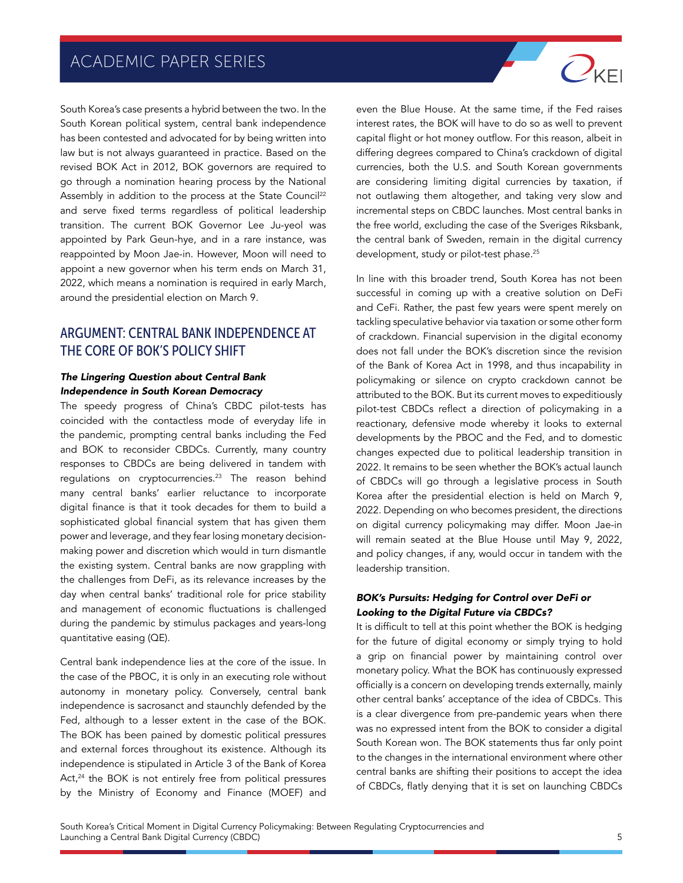South Korea's case presents a hybrid between the two. In the South Korean political system, central bank independence has been contested and advocated for by being written into law but is not always guaranteed in practice. Based on the revised BOK Act in 2012, BOK governors are required to go through a nomination hearing process by the National Assembly in addition to the process at the State Council<sup>22</sup> and serve fixed terms regardless of political leadership transition. The current BOK Governor Lee Ju-yeol was appointed by Park Geun-hye, and in a rare instance, was reappointed by Moon Jae-in. However, Moon will need to appoint a new governor when his term ends on March 31, 2022, which means a nomination is required in early March, around the presidential election on March 9.

#### ARGUMENT: CENTRAL BANK INDEPENDENCE AT THE CORE OF BOK'S POLICY SHIFT

#### The Lingering Question about Central Bank Independence in South Korean Democracy

The speedy progress of China's CBDC pilot-tests has coincided with the contactless mode of everyday life in the pandemic, prompting central banks including the Fed and BOK to reconsider CBDCs. Currently, many country responses to CBDCs are being delivered in tandem with regulations on cryptocurrencies.23 The reason behind many central banks' earlier reluctance to incorporate digital finance is that it took decades for them to build a sophisticated global financial system that has given them power and leverage, and they fear losing monetary decisionmaking power and discretion which would in turn dismantle the existing system. Central banks are now grappling with the challenges from DeFi, as its relevance increases by the day when central banks' traditional role for price stability and management of economic fluctuations is challenged during the pandemic by stimulus packages and years-long quantitative easing (QE).

Central bank independence lies at the core of the issue. In the case of the PBOC, it is only in an executing role without autonomy in monetary policy. Conversely, central bank independence is sacrosanct and staunchly defended by the Fed, although to a lesser extent in the case of the BOK. The BOK has been pained by domestic political pressures and external forces throughout its existence. Although its independence is stipulated in Article 3 of the Bank of Korea Act,<sup>24</sup> the BOK is not entirely free from political pressures by the Ministry of Economy and Finance (MOEF) and

even the Blue House. At the same time, if the Fed raises interest rates, the BOK will have to do so as well to prevent capital flight or hot money outflow. For this reason, albeit in differing degrees compared to China's crackdown of digital currencies, both the U.S. and South Korean governments are considering limiting digital currencies by taxation, if not outlawing them altogether, and taking very slow and incremental steps on CBDC launches. Most central banks in the free world, excluding the case of the Sveriges Riksbank, the central bank of Sweden, remain in the digital currency development, study or pilot-test phase.<sup>25</sup>

 $O_{\text{KEI}}$ 

In line with this broader trend, South Korea has not been successful in coming up with a creative solution on DeFi and CeFi. Rather, the past few years were spent merely on tackling speculative behavior via taxation or some other form of crackdown. Financial supervision in the digital economy does not fall under the BOK's discretion since the revision of the Bank of Korea Act in 1998, and thus incapability in policymaking or silence on crypto crackdown cannot be attributed to the BOK. But its current moves to expeditiously pilot-test CBDCs reflect a direction of policymaking in a reactionary, defensive mode whereby it looks to external developments by the PBOC and the Fed, and to domestic changes expected due to political leadership transition in 2022. It remains to be seen whether the BOK's actual launch of CBDCs will go through a legislative process in South Korea after the presidential election is held on March 9, 2022. Depending on who becomes president, the directions on digital currency policymaking may differ. Moon Jae-in will remain seated at the Blue House until May 9, 2022, and policy changes, if any, would occur in tandem with the leadership transition.

#### BOK's Pursuits: Hedging for Control over DeFi or Looking to the Digital Future via CBDCs?

It is difficult to tell at this point whether the BOK is hedging for the future of digital economy or simply trying to hold a grip on financial power by maintaining control over monetary policy. What the BOK has continuously expressed officially is a concern on developing trends externally, mainly other central banks' acceptance of the idea of CBDCs. This is a clear divergence from pre-pandemic years when there was no expressed intent from the BOK to consider a digital South Korean won. The BOK statements thus far only point to the changes in the international environment where other central banks are shifting their positions to accept the idea of CBDCs, flatly denying that it is set on launching CBDCs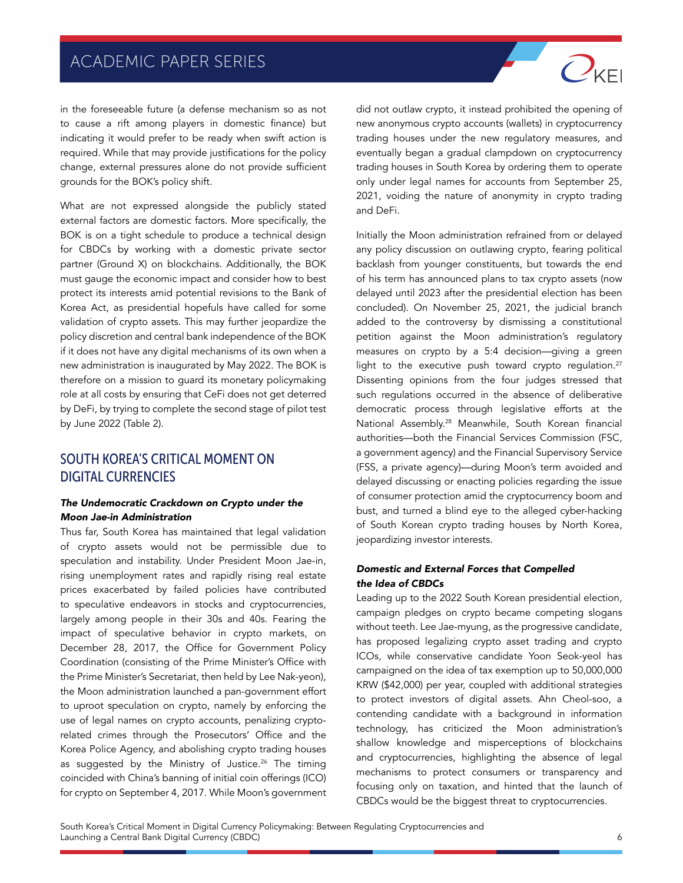in the foreseeable future (a defense mechanism so as not to cause a rift among players in domestic finance) but indicating it would prefer to be ready when swift action is required. While that may provide justifications for the policy change, external pressures alone do not provide sufficient grounds for the BOK's policy shift.

What are not expressed alongside the publicly stated external factors are domestic factors. More specifically, the BOK is on a tight schedule to produce a technical design for CBDCs by working with a domestic private sector partner (Ground X) on blockchains. Additionally, the BOK must gauge the economic impact and consider how to best protect its interests amid potential revisions to the Bank of Korea Act, as presidential hopefuls have called for some validation of crypto assets. This may further jeopardize the policy discretion and central bank independence of the BOK if it does not have any digital mechanisms of its own when a new administration is inaugurated by May 2022. The BOK is therefore on a mission to guard its monetary policymaking role at all costs by ensuring that CeFi does not get deterred by DeFi, by trying to complete the second stage of pilot test by June 2022 (Table 2).

#### SOUTH KOREA'S CRITICAL MOMENT ON DIGITAL CURRENCIES

#### The Undemocratic Crackdown on Crypto under the Moon Jae-in Administration

Thus far, South Korea has maintained that legal validation of crypto assets would not be permissible due to speculation and instability. Under President Moon Jae-in, rising unemployment rates and rapidly rising real estate prices exacerbated by failed policies have contributed to speculative endeavors in stocks and cryptocurrencies, largely among people in their 30s and 40s. Fearing the impact of speculative behavior in crypto markets, on December 28, 2017, the Office for Government Policy Coordination (consisting of the Prime Minister's Office with the Prime Minister's Secretariat, then held by Lee Nak-yeon), the Moon administration launched a pan-government effort to uproot speculation on crypto, namely by enforcing the use of legal names on crypto accounts, penalizing cryptorelated crimes through the Prosecutors' Office and the Korea Police Agency, and abolishing crypto trading houses as suggested by the Ministry of Justice.<sup>26</sup> The timing coincided with China's banning of initial coin offerings (ICO) for crypto on September 4, 2017. While Moon's government did not outlaw crypto, it instead prohibited the opening of new anonymous crypto accounts (wallets) in cryptocurrency trading houses under the new regulatory measures, and eventually began a gradual clampdown on cryptocurrency trading houses in South Korea by ordering them to operate only under legal names for accounts from September 25, 2021, voiding the nature of anonymity in crypto trading and DeFi.

 $O_{\mathsf{KE}}$ 

Initially the Moon administration refrained from or delayed any policy discussion on outlawing crypto, fearing political backlash from younger constituents, but towards the end of his term has announced plans to tax crypto assets (now delayed until 2023 after the presidential election has been concluded). On November 25, 2021, the judicial branch added to the controversy by dismissing a constitutional petition against the Moon administration's regulatory measures on crypto by a 5:4 decision—giving a green light to the executive push toward crypto regulation.<sup>27</sup> Dissenting opinions from the four judges stressed that such regulations occurred in the absence of deliberative democratic process through legislative efforts at the National Assembly.28 Meanwhile, South Korean financial authorities—both the Financial Services Commission (FSC, a government agency) and the Financial Supervisory Service (FSS, a private agency)—during Moon's term avoided and delayed discussing or enacting policies regarding the issue of consumer protection amid the cryptocurrency boom and bust, and turned a blind eye to the alleged cyber-hacking of South Korean crypto trading houses by North Korea, jeopardizing investor interests.

#### Domestic and External Forces that Compelled the Idea of CBDCs

Leading up to the 2022 South Korean presidential election, campaign pledges on crypto became competing slogans without teeth. Lee Jae-myung, as the progressive candidate, has proposed legalizing crypto asset trading and crypto ICOs, while conservative candidate Yoon Seok-yeol has campaigned on the idea of tax exemption up to 50,000,000 KRW (\$42,000) per year, coupled with additional strategies to protect investors of digital assets. Ahn Cheol-soo, a contending candidate with a background in information technology, has criticized the Moon administration's shallow knowledge and misperceptions of blockchains and cryptocurrencies, highlighting the absence of legal mechanisms to protect consumers or transparency and focusing only on taxation, and hinted that the launch of CBDCs would be the biggest threat to cryptocurrencies.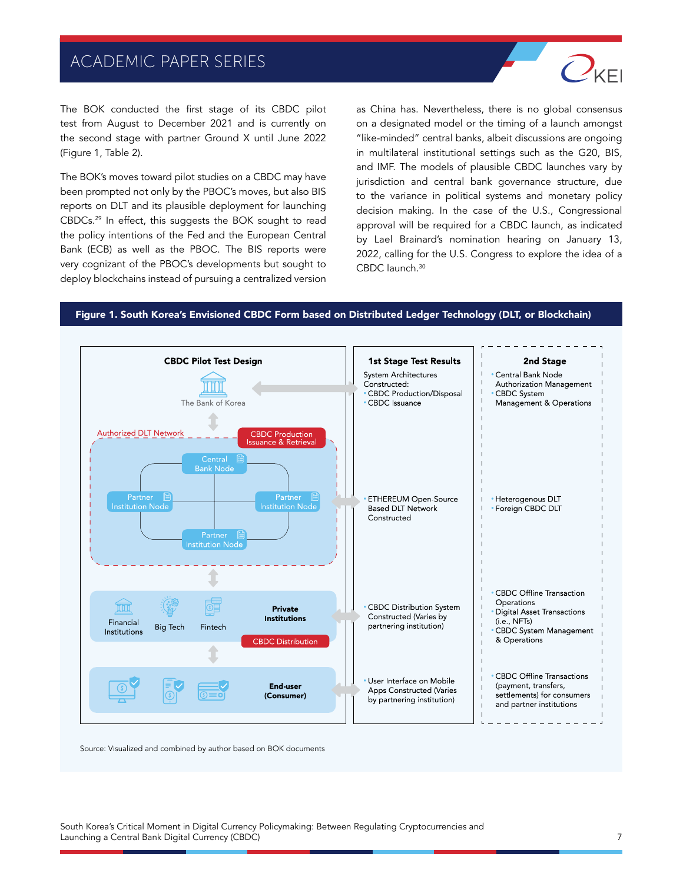

The BOK conducted the first stage of its CBDC pilot test from August to December 2021 and is currently on the second stage with partner Ground X until June 2022 (Figure 1, Table 2).

The BOK's moves toward pilot studies on a CBDC may have been prompted not only by the PBOC's moves, but also BIS reports on DLT and its plausible deployment for launching CBDCs.29 In effect, this suggests the BOK sought to read the policy intentions of the Fed and the European Central Bank (ECB) as well as the PBOC. The BIS reports were very cognizant of the PBOC's developments but sought to deploy blockchains instead of pursuing a centralized version

as China has. Nevertheless, there is no global consensus on a designated model or the timing of a launch amongst "like-minded" central banks, albeit discussions are ongoing in multilateral institutional settings such as the G20, BIS, and IMF. The models of plausible CBDC launches vary by jurisdiction and central bank governance structure, due to the variance in political systems and monetary policy decision making. In the case of the U.S., Congressional approval will be required for a CBDC launch, as indicated by Lael Brainard's nomination hearing on January 13, 2022, calling for the U.S. Congress to explore the idea of a CBDC launch.30

#### Figure 1. South Korea's Envisioned CBDC Form based on Distributed Ledger Technology (DLT, or Blockchain)



Source: Visualized and combined by author based on BOK documents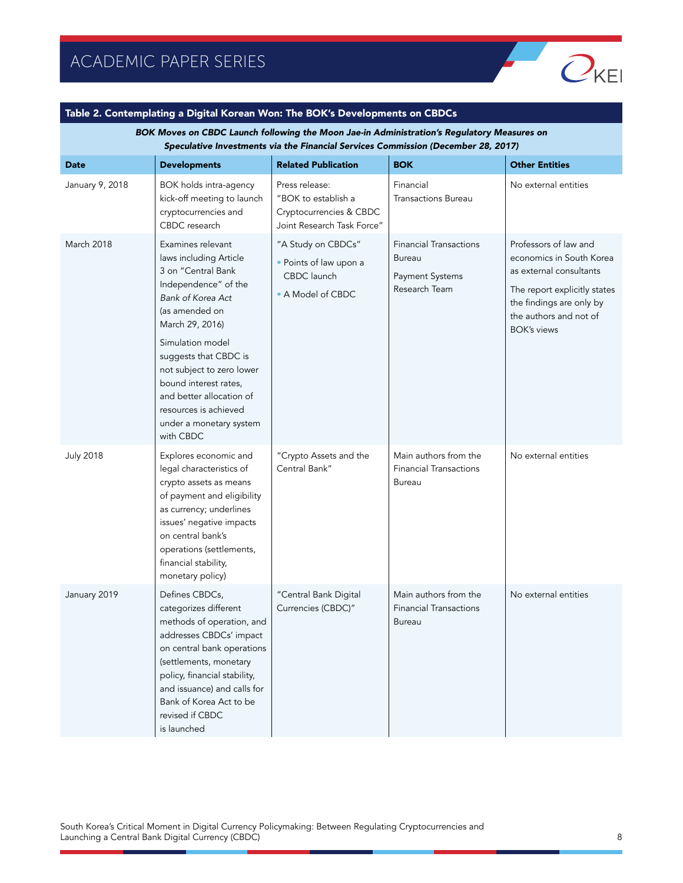

#### Table 2. Contemplating a Digital Korean Won: The BOK's Developments on CBDCs

BOK Moves on CBDC Launch following the Moon Jae-in Administration's Regulatory Measures on Speculative Investments via the Financial Services Commission (December 28, 2017)

| <b>Date</b>      | <b>Developments</b>                                                                                                                                                                                                                                                                                                                                 | <b>Related Publication</b>                                                                     | <b>BOK</b>                                                                         | <b>Other Entities</b>                                                                                                                                                                    |
|------------------|-----------------------------------------------------------------------------------------------------------------------------------------------------------------------------------------------------------------------------------------------------------------------------------------------------------------------------------------------------|------------------------------------------------------------------------------------------------|------------------------------------------------------------------------------------|------------------------------------------------------------------------------------------------------------------------------------------------------------------------------------------|
| January 9, 2018  | BOK holds intra-agency<br>kick-off meeting to launch<br>cryptocurrencies and<br>CBDC research                                                                                                                                                                                                                                                       | Press release:<br>"BOK to establish a<br>Cryptocurrencies & CBDC<br>Joint Research Task Force" | Financial<br><b>Transactions Bureau</b>                                            | No external entities                                                                                                                                                                     |
| March 2018       | Examines relevant<br>laws including Article<br>3 on "Central Bank<br>Independence" of the<br>Bank of Korea Act<br>(as amended on<br>March 29, 2016)<br>Simulation model<br>suggests that CBDC is<br>not subject to zero lower<br>bound interest rates,<br>and better allocation of<br>resources is achieved<br>under a monetary system<br>with CBDC | "A Study on CBDCs"<br>• Points of law upon a<br>CBDC launch<br>• A Model of CBDC               | <b>Financial Transactions</b><br><b>Bureau</b><br>Payment Systems<br>Research Team | Professors of law and<br>economics in South Korea<br>as external consultants<br>The report explicitly states<br>the findings are only by<br>the authors and not of<br><b>BOK's views</b> |
| <b>July 2018</b> | Explores economic and<br>legal characteristics of<br>crypto assets as means<br>of payment and eligibility<br>as currency; underlines<br>issues' negative impacts<br>on central bank's<br>operations (settlements,<br>financial stability,<br>monetary policy)                                                                                       | "Crypto Assets and the<br>Central Bank"                                                        | Main authors from the<br><b>Financial Transactions</b><br><b>Bureau</b>            | No external entities                                                                                                                                                                     |
| January 2019     | Defines CBDCs,<br>categorizes different<br>methods of operation, and<br>addresses CBDCs' impact<br>on central bank operations<br>(settlements, monetary<br>policy, financial stability,<br>and issuance) and calls for<br>Bank of Korea Act to be<br>revised if CBDC<br>is launched                                                                 | "Central Bank Digital<br>Currencies (CBDC)"                                                    | Main authors from the<br><b>Financial Transactions</b><br><b>Bureau</b>            | No external entities                                                                                                                                                                     |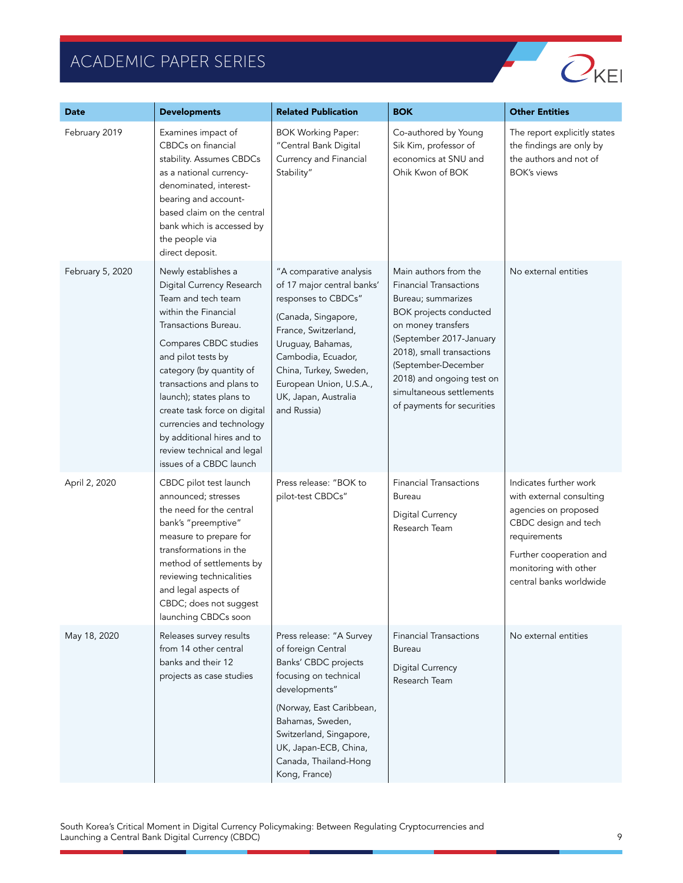

| Date             | <b>Developments</b>                                                                                                                                                                                                                                                                                                                                                                                            | <b>Related Publication</b>                                                                                                                                                                                                                                         | <b>BOK</b>                                                                                                                                                                                                                                                                                                | <b>Other Entities</b>                                                                                                                                                                             |
|------------------|----------------------------------------------------------------------------------------------------------------------------------------------------------------------------------------------------------------------------------------------------------------------------------------------------------------------------------------------------------------------------------------------------------------|--------------------------------------------------------------------------------------------------------------------------------------------------------------------------------------------------------------------------------------------------------------------|-----------------------------------------------------------------------------------------------------------------------------------------------------------------------------------------------------------------------------------------------------------------------------------------------------------|---------------------------------------------------------------------------------------------------------------------------------------------------------------------------------------------------|
| February 2019    | Examines impact of<br>CBDCs on financial<br>stability. Assumes CBDCs<br>as a national currency-<br>denominated, interest-<br>bearing and account-<br>based claim on the central<br>bank which is accessed by<br>the people via<br>direct deposit.                                                                                                                                                              | <b>BOK Working Paper:</b><br>"Central Bank Digital<br>Currency and Financial<br>Stability"                                                                                                                                                                         | Co-authored by Young<br>Sik Kim, professor of<br>economics at SNU and<br>Ohik Kwon of BOK                                                                                                                                                                                                                 | The report explicitly states<br>the findings are only by<br>the authors and not of<br><b>BOK's views</b>                                                                                          |
| February 5, 2020 | Newly establishes a<br>Digital Currency Research<br>Team and tech team<br>within the Financial<br>Transactions Bureau.<br>Compares CBDC studies<br>and pilot tests by<br>category (by quantity of<br>transactions and plans to<br>launch); states plans to<br>create task force on digital<br>currencies and technology<br>by additional hires and to<br>review technical and legal<br>issues of a CBDC launch | "A comparative analysis<br>of 17 major central banks'<br>responses to CBDCs"<br>(Canada, Singapore,<br>France, Switzerland,<br>Uruguay, Bahamas,<br>Cambodia, Ecuador,<br>China, Turkey, Sweden,<br>European Union, U.S.A.,<br>UK, Japan, Australia<br>and Russia) | Main authors from the<br><b>Financial Transactions</b><br>Bureau; summarizes<br><b>BOK</b> projects conducted<br>on money transfers<br>(September 2017-January<br>2018), small transactions<br>(September-December<br>2018) and ongoing test on<br>simultaneous settlements<br>of payments for securities | No external entities                                                                                                                                                                              |
| April 2, 2020    | CBDC pilot test launch<br>announced; stresses<br>the need for the central<br>bank's "preemptive"<br>measure to prepare for<br>transformations in the<br>method of settlements by<br>reviewing technicalities<br>and legal aspects of<br>CBDC; does not suggest<br>launching CBDCs soon                                                                                                                         | Press release: "BOK to<br>pilot-test CBDCs"                                                                                                                                                                                                                        | <b>Financial Transactions</b><br>Bureau<br><b>Digital Currency</b><br>Research Team                                                                                                                                                                                                                       | Indicates further work<br>with external consulting<br>agencies on proposed<br>CBDC design and tech<br>requirements<br>Further cooperation and<br>monitoring with other<br>central banks worldwide |
| May 18, 2020     | Releases survey results<br>from 14 other central<br>banks and their 12<br>projects as case studies                                                                                                                                                                                                                                                                                                             | Press release: "A Survey<br>of foreign Central<br>Banks' CBDC projects<br>focusing on technical<br>developments"<br>(Norway, East Caribbean,<br>Bahamas, Sweden,<br>Switzerland, Singapore,<br>UK, Japan-ECB, China,<br>Canada, Thailand-Hong<br>Kong, France)     | <b>Financial Transactions</b><br>Bureau<br>Digital Currency<br>Research Team                                                                                                                                                                                                                              | No external entities                                                                                                                                                                              |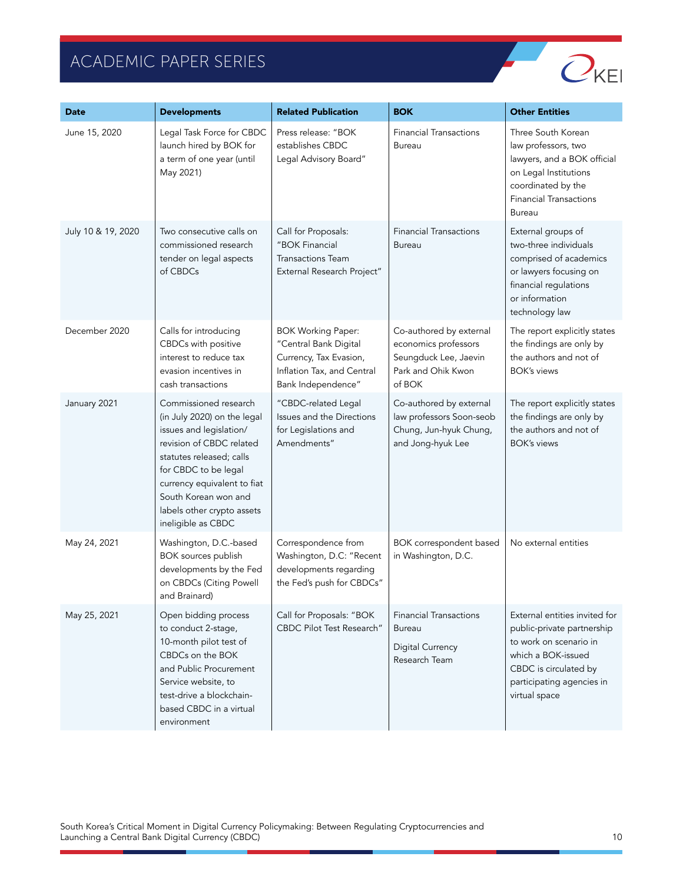

| <b>Date</b>        | <b>Developments</b>                                                                                                                                                                                                                                                        | <b>Related Publication</b>                                                                                                       | <b>BOK</b>                                                                                               | <b>Other Entities</b>                                                                                                                                                              |
|--------------------|----------------------------------------------------------------------------------------------------------------------------------------------------------------------------------------------------------------------------------------------------------------------------|----------------------------------------------------------------------------------------------------------------------------------|----------------------------------------------------------------------------------------------------------|------------------------------------------------------------------------------------------------------------------------------------------------------------------------------------|
| June 15, 2020      | Legal Task Force for CBDC<br>launch hired by BOK for<br>a term of one year (until<br>May 2021)                                                                                                                                                                             | Press release: "BOK<br>establishes CBDC<br>Legal Advisory Board"                                                                 | <b>Financial Transactions</b><br><b>Bureau</b>                                                           | Three South Korean<br>law professors, two<br>lawyers, and a BOK official<br>on Legal Institutions<br>coordinated by the<br><b>Financial Transactions</b><br>Bureau                 |
| July 10 & 19, 2020 | Two consecutive calls on<br>commissioned research<br>tender on legal aspects<br>of CBDCs                                                                                                                                                                                   | Call for Proposals:<br>"BOK Financial<br><b>Transactions Team</b><br>External Research Project"                                  | <b>Financial Transactions</b><br><b>Bureau</b>                                                           | External groups of<br>two-three individuals<br>comprised of academics<br>or lawyers focusing on<br>financial regulations<br>or information<br>technology law                       |
| December 2020      | Calls for introducing<br>CBDCs with positive<br>interest to reduce tax<br>evasion incentives in<br>cash transactions                                                                                                                                                       | <b>BOK Working Paper:</b><br>"Central Bank Digital<br>Currency, Tax Evasion,<br>Inflation Tax, and Central<br>Bank Independence" | Co-authored by external<br>economics professors<br>Seungduck Lee, Jaevin<br>Park and Ohik Kwon<br>of BOK | The report explicitly states<br>the findings are only by<br>the authors and not of<br><b>BOK's views</b>                                                                           |
| January 2021       | Commissioned research<br>(in July 2020) on the legal<br>issues and legislation/<br>revision of CBDC related<br>statutes released; calls<br>for CBDC to be legal<br>currency equivalent to fiat<br>South Korean won and<br>labels other crypto assets<br>ineligible as CBDC | "CBDC-related Legal<br>Issues and the Directions<br>for Legislations and<br>Amendments"                                          | Co-authored by external<br>law professors Soon-seob<br>Chung, Jun-hyuk Chung,<br>and Jong-hyuk Lee       | The report explicitly states<br>the findings are only by<br>the authors and not of<br><b>BOK's views</b>                                                                           |
| May 24, 2021       | Washington, D.C.-based<br>BOK sources publish<br>developments by the Fed<br>on CBDCs (Citing Powell<br>and Brainard)                                                                                                                                                       | Correspondence from<br>Washington, D.C: "Recent<br>developments regarding<br>the Fed's push for CBDCs"                           | BOK correspondent based<br>in Washington, D.C.                                                           | No external entities                                                                                                                                                               |
| May 25, 2021       | Open bidding process<br>to conduct 2-stage,<br>10-month pilot test of<br>CBDCs on the BOK<br>and Public Procurement<br>Service website, to<br>test-drive a blockchain-<br>based CBDC in a virtual<br>environment                                                           | Call for Proposals: "BOK<br><b>CBDC Pilot Test Research"</b>                                                                     | <b>Financial Transactions</b><br>Bureau<br>Digital Currency<br>Research Team                             | External entities invited for<br>public-private partnership<br>to work on scenario in<br>which a BOK-issued<br>CBDC is circulated by<br>participating agencies in<br>virtual space |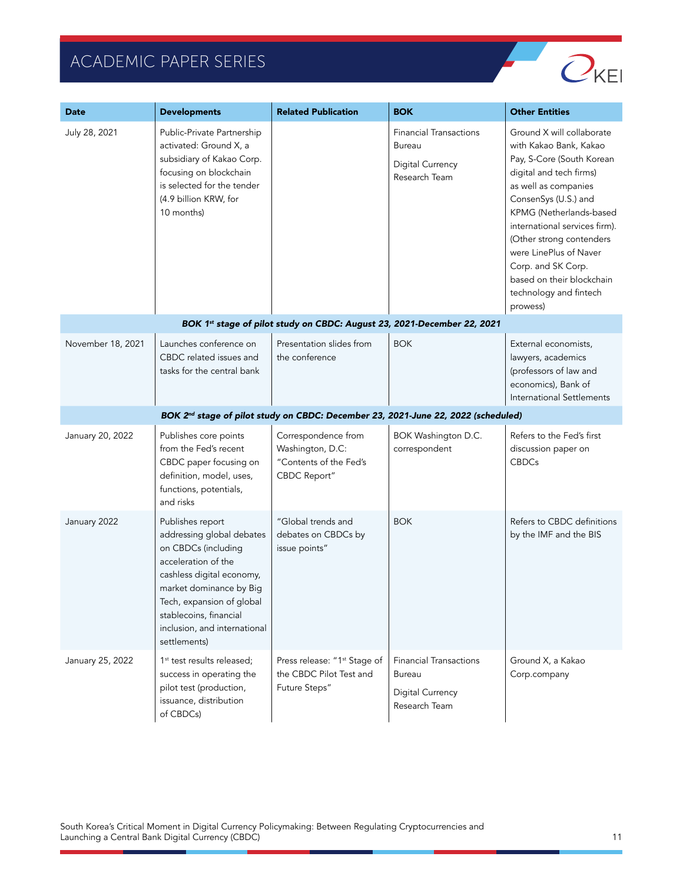

| Date              | <b>Developments</b>                                                                                                                                                                                                                                        | <b>Related Publication</b>                                                                    | <b>BOK</b>                                                                          | <b>Other Entities</b>                                                                                                                                                                                                                                                                                                                                                  |
|-------------------|------------------------------------------------------------------------------------------------------------------------------------------------------------------------------------------------------------------------------------------------------------|-----------------------------------------------------------------------------------------------|-------------------------------------------------------------------------------------|------------------------------------------------------------------------------------------------------------------------------------------------------------------------------------------------------------------------------------------------------------------------------------------------------------------------------------------------------------------------|
| July 28, 2021     | Public-Private Partnership<br>activated: Ground X, a<br>subsidiary of Kakao Corp.<br>focusing on blockchain<br>is selected for the tender<br>(4.9 billion KRW, for<br>10 months)                                                                           |                                                                                               | <b>Financial Transactions</b><br><b>Bureau</b><br>Digital Currency<br>Research Team | Ground X will collaborate<br>with Kakao Bank, Kakao<br>Pay, S-Core (South Korean<br>digital and tech firms)<br>as well as companies<br>ConsenSys (U.S.) and<br>KPMG (Netherlands-based<br>international services firm).<br>(Other strong contenders<br>were LinePlus of Naver<br>Corp. and SK Corp.<br>based on their blockchain<br>technology and fintech<br>prowess) |
|                   |                                                                                                                                                                                                                                                            | BOK 1st stage of pilot study on CBDC: August 23, 2021-December 22, 2021                       |                                                                                     |                                                                                                                                                                                                                                                                                                                                                                        |
| November 18, 2021 | Launches conference on<br>CBDC related issues and<br>tasks for the central bank                                                                                                                                                                            | Presentation slides from<br>the conference                                                    | <b>BOK</b>                                                                          | External economists,<br>lawyers, academics<br>(professors of law and<br>economics), Bank of<br><b>International Settlements</b>                                                                                                                                                                                                                                        |
|                   |                                                                                                                                                                                                                                                            | BOK 2 <sup>nd</sup> stage of pilot study on CBDC: December 23, 2021-June 22, 2022 (scheduled) |                                                                                     |                                                                                                                                                                                                                                                                                                                                                                        |
| January 20, 2022  | Publishes core points<br>from the Fed's recent<br>CBDC paper focusing on<br>definition, model, uses,<br>functions, potentials,<br>and risks                                                                                                                | Correspondence from<br>Washington, D.C:<br>"Contents of the Fed's<br>CBDC Report"             | BOK Washington D.C.<br>correspondent                                                | Refers to the Fed's first<br>discussion paper on<br><b>CBDCs</b>                                                                                                                                                                                                                                                                                                       |
| January 2022      | Publishes report<br>addressing global debates<br>on CBDCs (including<br>acceleration of the<br>cashless digital economy,<br>market dominance by Big<br>Tech, expansion of global<br>stablecoins, financial<br>inclusion, and international<br>settlements) | "Global trends and<br>debates on CBDCs by<br>issue points"                                    | <b>BOK</b>                                                                          | Refers to CBDC definitions<br>by the IMF and the BIS                                                                                                                                                                                                                                                                                                                   |
| January 25, 2022  | 1 <sup>st</sup> test results released;<br>success in operating the<br>pilot test (production,<br>issuance, distribution<br>of CBDCs)                                                                                                                       | Press release: "1 <sup>st</sup> Stage of<br>the CBDC Pilot Test and<br>Future Steps"          | <b>Financial Transactions</b><br><b>Bureau</b><br>Digital Currency<br>Research Team | Ground X, a Kakao<br>Corp.company                                                                                                                                                                                                                                                                                                                                      |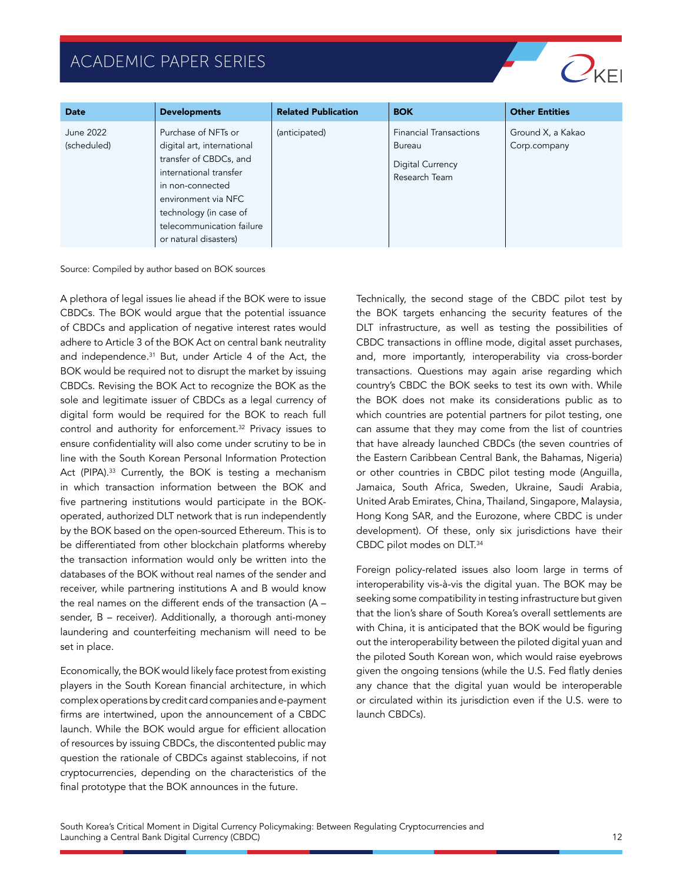

| <b>Date</b>              | <b>Developments</b>                                                                                                                                                                                                              | <b>Related Publication</b> | <b>BOK</b>                                                                   | <b>Other Entities</b>             |
|--------------------------|----------------------------------------------------------------------------------------------------------------------------------------------------------------------------------------------------------------------------------|----------------------------|------------------------------------------------------------------------------|-----------------------------------|
| June 2022<br>(scheduled) | Purchase of NFTs or<br>digital art, international<br>transfer of CBDCs, and<br>international transfer<br>in non-connected<br>environment via NFC<br>technology (in case of<br>telecommunication failure<br>or natural disasters) | (anticipated)              | <b>Financial Transactions</b><br>Bureau<br>Digital Currency<br>Research Team | Ground X, a Kakao<br>Corp.company |

Source: Compiled by author based on BOK sources

A plethora of legal issues lie ahead if the BOK were to issue CBDCs. The BOK would argue that the potential issuance of CBDCs and application of negative interest rates would adhere to Article 3 of the BOK Act on central bank neutrality and independence.<sup>31</sup> But, under Article 4 of the Act, the BOK would be required not to disrupt the market by issuing CBDCs. Revising the BOK Act to recognize the BOK as the sole and legitimate issuer of CBDCs as a legal currency of digital form would be required for the BOK to reach full control and authority for enforcement.32 Privacy issues to ensure confidentiality will also come under scrutiny to be in line with the South Korean Personal Information Protection Act (PIPA).<sup>33</sup> Currently, the BOK is testing a mechanism in which transaction information between the BOK and five partnering institutions would participate in the BOKoperated, authorized DLT network that is run independently by the BOK based on the open-sourced Ethereum. This is to be differentiated from other blockchain platforms whereby the transaction information would only be written into the databases of the BOK without real names of the sender and receiver, while partnering institutions A and B would know the real names on the different ends of the transaction (A – sender, B – receiver). Additionally, a thorough anti-money laundering and counterfeiting mechanism will need to be set in place.

Economically, the BOK would likely face protest from existing players in the South Korean financial architecture, in which complex operations by credit card companies and e-payment firms are intertwined, upon the announcement of a CBDC launch. While the BOK would argue for efficient allocation of resources by issuing CBDCs, the discontented public may question the rationale of CBDCs against stablecoins, if not cryptocurrencies, depending on the characteristics of the final prototype that the BOK announces in the future.

Technically, the second stage of the CBDC pilot test by the BOK targets enhancing the security features of the DLT infrastructure, as well as testing the possibilities of CBDC transactions in offline mode, digital asset purchases, and, more importantly, interoperability via cross-border transactions. Questions may again arise regarding which country's CBDC the BOK seeks to test its own with. While the BOK does not make its considerations public as to which countries are potential partners for pilot testing, one can assume that they may come from the list of countries that have already launched CBDCs (the seven countries of the Eastern Caribbean Central Bank, the Bahamas, Nigeria) or other countries in CBDC pilot testing mode (Anguilla, Jamaica, South Africa, Sweden, Ukraine, Saudi Arabia, United Arab Emirates, China, Thailand, Singapore, Malaysia, Hong Kong SAR, and the Eurozone, where CBDC is under development). Of these, only six jurisdictions have their CBDC pilot modes on DLT.34

Foreign policy-related issues also loom large in terms of interoperability vis-à-vis the digital yuan. The BOK may be seeking some compatibility in testing infrastructure but given that the lion's share of South Korea's overall settlements are with China, it is anticipated that the BOK would be figuring out the interoperability between the piloted digital yuan and the piloted South Korean won, which would raise eyebrows given the ongoing tensions (while the U.S. Fed flatly denies any chance that the digital yuan would be interoperable or circulated within its jurisdiction even if the U.S. were to launch CBDCs).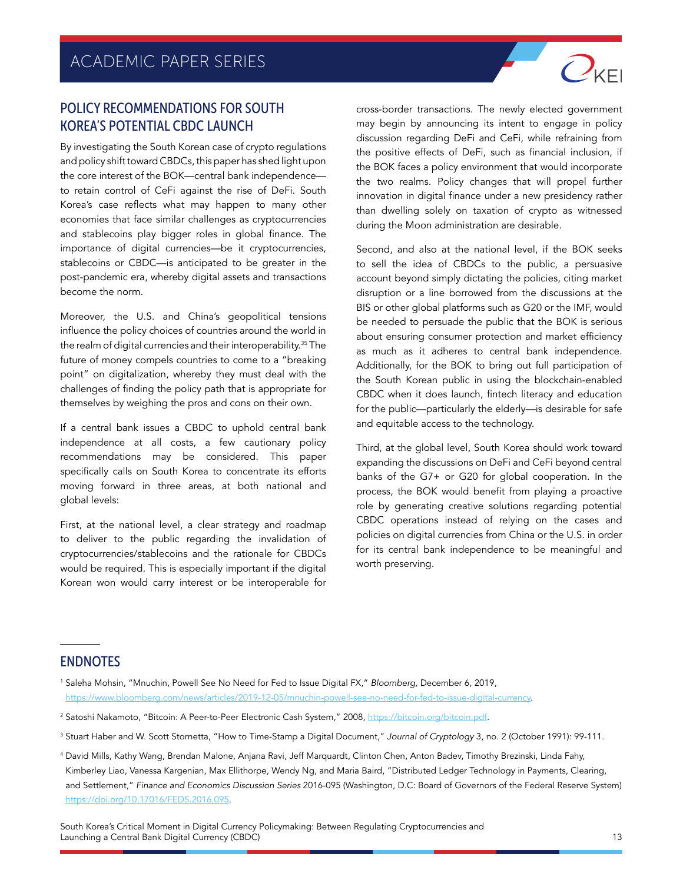#### POLICY RECOMMENDATIONS FOR SOUTH KOREA'S POTENTIAL CBDC LAUNCH

By investigating the South Korean case of crypto regulations and policy shift toward CBDCs, this paper has shed light upon the core interest of the BOK—central bank independence to retain control of CeFi against the rise of DeFi. South Korea's case reflects what may happen to many other economies that face similar challenges as cryptocurrencies and stablecoins play bigger roles in global finance. The importance of digital currencies—be it cryptocurrencies, stablecoins or CBDC—is anticipated to be greater in the post-pandemic era, whereby digital assets and transactions become the norm.

Moreover, the U.S. and China's geopolitical tensions influence the policy choices of countries around the world in the realm of digital currencies and their interoperability.35 The future of money compels countries to come to a "breaking point" on digitalization, whereby they must deal with the challenges of finding the policy path that is appropriate for themselves by weighing the pros and cons on their own.

If a central bank issues a CBDC to uphold central bank independence at all costs, a few cautionary policy recommendations may be considered. This paper specifically calls on South Korea to concentrate its efforts moving forward in three areas, at both national and global levels:

First, at the national level, a clear strategy and roadmap to deliver to the public regarding the invalidation of cryptocurrencies/stablecoins and the rationale for CBDCs would be required. This is especially important if the digital Korean won would carry interest or be interoperable for cross-border transactions. The newly elected government may begin by announcing its intent to engage in policy discussion regarding DeFi and CeFi, while refraining from the positive effects of DeFi, such as financial inclusion, if the BOK faces a policy environment that would incorporate the two realms. Policy changes that will propel further innovation in digital finance under a new presidency rather than dwelling solely on taxation of crypto as witnessed during the Moon administration are desirable.

 $O_{\text{KE}}$ 

Second, and also at the national level, if the BOK seeks to sell the idea of CBDCs to the public, a persuasive account beyond simply dictating the policies, citing market disruption or a line borrowed from the discussions at the BIS or other global platforms such as G20 or the IMF, would be needed to persuade the public that the BOK is serious about ensuring consumer protection and market efficiency as much as it adheres to central bank independence. Additionally, for the BOK to bring out full participation of the South Korean public in using the blockchain-enabled CBDC when it does launch, fintech literacy and education for the public—particularly the elderly—is desirable for safe and equitable access to the technology.

Third, at the global level, South Korea should work toward expanding the discussions on DeFi and CeFi beyond central banks of the G7+ or G20 for global cooperation. In the process, the BOK would benefit from playing a proactive role by generating creative solutions regarding potential CBDC operations instead of relying on the cases and policies on digital currencies from China or the U.S. in order for its central bank independence to be meaningful and worth preserving.

#### **ENDNOTES**

<sup>1</sup> Saleha Mohsin, "Mnuchin, Powell See No Need for Fed to Issue Digital FX," *Bloomberg,* December 6, 2019, [https://www.bloomberg.com/news/articles/2019-12-05/mnuchin-powell-see-no-need-for-fed-to-issue-digital-currency.](https://www.bloomberg.com/news/articles/2019-12-05/mnuchin-powell-see-no-need-for-fed-to-issue-digital-currency)

- <sup>2</sup> Satoshi Nakamoto, "Bitcoin: A Peer-to-Peer Electronic Cash System," 2008, [https://bitcoin.org/bitcoin.pdf.](https://bitcoin.org/bitcoin.pdf)
- <sup>3</sup> Stuart Haber and W. Scott Stornetta, "How to Time-Stamp a Digital Document," *Journal of Cryptology* 3, no. 2 (October 1991): 99-111.
- <sup>4</sup> David Mills, Kathy Wang, Brendan Malone, Anjana Ravi, Jeff Marquardt, Clinton Chen, Anton Badev, Timothy Brezinski, Linda Fahy, Kimberley Liao, Vanessa Kargenian, Max Ellithorpe, Wendy Ng, and Maria Baird, "Distributed Ledger Technology in Payments, Clearing, and Settlement," *Finance and Economics Discussion Series* 2016-095 (Washington, D.C: Board of Governors of the Federal Reserve System) <https://doi.org/10.17016/FEDS.2016.095>.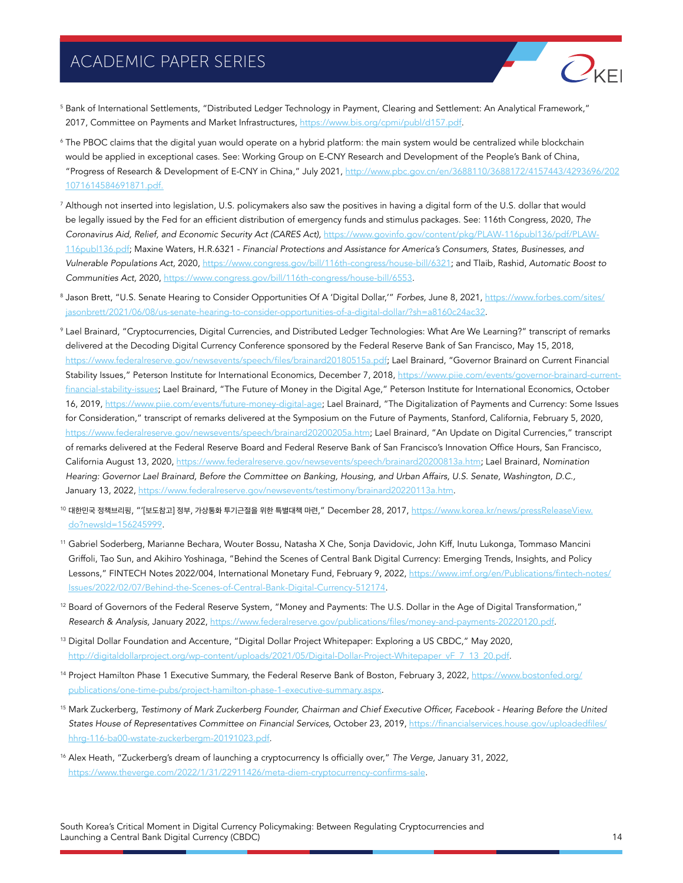

- <sup>5</sup> Bank of International Settlements, "Distributed Ledger Technology in Payment, Clearing and Settlement: An Analytical Framework," 2017, Committee on Payments and Market Infrastructures, [https://www.bis.org/cpmi/publ/d157.pdf.](https://www.bis.org/cpmi/publ/d157.pdf)
- <sup>6</sup> The PBOC claims that the digital yuan would operate on a hybrid platform: the main system would be centralized while blockchain would be applied in exceptional cases. See: Working Group on E-CNY Research and Development of the People's Bank of China, "Progress of Research & Development of E-CNY in China," July 2021, [http://www.pbc.gov.cn/en/3688110/3688172/4157443/4293696/202](http://www.pbc.gov.cn/en/3688110/3688172/4157443/4293696/2021071614584691871.pdf.) [1071614584691871.pdf.](http://www.pbc.gov.cn/en/3688110/3688172/4157443/4293696/2021071614584691871.pdf.)
- <sup>7</sup> Although not inserted into legislation, U.S. policymakers also saw the positives in having a digital form of the U.S. dollar that would be legally issued by the Fed for an efficient distribution of emergency funds and stimulus packages. See: 116th Congress, 2020, *The Coronavirus Aid, Relief, and Economic Security Act (CARES Act),* [https://www.govinfo.gov/content/pkg/PLAW-116publ136/pdf/PLAW-](https://www.govinfo.gov/content/pkg/PLAW-116publ136/pdf/PLAW-116publ136.pdf)[116publ136.pdf](https://www.govinfo.gov/content/pkg/PLAW-116publ136/pdf/PLAW-116publ136.pdf); Maxine Waters, H.R.6321 - *Financial Protections and Assistance for America's Consumers, States, Businesses, and Vulnerable Populations Act,* 2020, <https://www.congress.gov/bill/116th-congress/house-bill/6321>; and Tlaib, Rashid, *Automatic Boost to Communities Act,* 2020, [https://www.congress.gov/bill/116th-congress/house-bill/6553.](https://www.congress.gov/bill/116th-congress/house-bill/6553)
- <sup>8</sup> Jason Brett, "U.S. Senate Hearing to Consider Opportunities Of A 'Digital Dollar,'" *Forbes,* June 8, 2021, [https://www.forbes.com/sites/](https://www.forbes.com/sites/jasonbrett/2021/06/08/us-senate-hearing-to-consider-opportunities-of-a-digital-dollar/?sh=a8160c24ac32) [jasonbrett/2021/06/08/us-senate-hearing-to-consider-opportunities-of-a-digital-dollar/?sh=a8160c24ac32](https://www.forbes.com/sites/jasonbrett/2021/06/08/us-senate-hearing-to-consider-opportunities-of-a-digital-dollar/?sh=a8160c24ac32).
- <sup>9</sup> Lael Brainard, "Cryptocurrencies, Digital Currencies, and Distributed Ledger Technologies: What Are We Learning?" transcript of remarks delivered at the Decoding Digital Currency Conference sponsored by the Federal Reserve Bank of San Francisco, May 15, 2018, <https://www.federalreserve.gov/newsevents/speech/files/brainard20180515a.pdf>; Lael Brainard, "Governor Brainard on Current Financial Stability Issues," Peterson Institute for International Economics, December 7, 2018, [https://www.piie.com/events/governor-brainard-current](https://www.piie.com/events/governor-brainard-current-financial-stability-issues)[financial-stability-issues](https://www.piie.com/events/governor-brainard-current-financial-stability-issues); Lael Brainard, "The Future of Money in the Digital Age," Peterson Institute for International Economics, October 16, 2019,<https://www.piie.com/events/future-money-digital-age>; Lael Brainard, "The Digitalization of Payments and Currency: Some Issues for Consideration," transcript of remarks delivered at the Symposium on the Future of Payments, Stanford, California, February 5, 2020, [https://www.federalreserve.gov/newsevents/speech/brainard20200205a.htm;](https://www.federalreserve.gov/newsevents/speech/brainard20200205a.htm) Lael Brainard, "An Update on Digital Currencies," transcript of remarks delivered at the Federal Reserve Board and Federal Reserve Bank of San Francisco's Innovation Office Hours, San Francisco, California August 13, 2020,<https://www.federalreserve.gov/newsevents/speech/brainard20200813a.htm>; Lael Brainard, *Nomination Hearing: Governor Lael Brainard, Before the Committee on Banking, Housing, and Urban Affairs, U.S. Senate, Washington, D.C.,* January 13, 2022, [https://www.federalreserve.gov/newsevents/testimony/brainard20220113a.htm.](https://www.federalreserve.gov/newsevents/testimony/brainard20220113a.htm)
- <sup>10</sup> 대한민국 정책브리핑, "'[보도참고] 정부, 가상통화 투기근절을 위한 특별대책 마련," December 28, 2017, [https://www.korea.kr/news/pressReleaseView.](https://www.korea.kr/news/pressReleaseView.do?newsId=156245999) [do?newsId=156245999](https://www.korea.kr/news/pressReleaseView.do?newsId=156245999).
- <sup>11</sup> Gabriel Soderberg, Marianne Bechara, Wouter Bossu, Natasha X Che, Sonja Davidovic, John Kiff, Inutu Lukonga, Tommaso Mancini Griffoli, Tao Sun, and Akihiro Yoshinaga, "Behind the Scenes of Central Bank Digital Currency: Emerging Trends, Insights, and Policy Lessons," FINTECH Notes 2022/004, International Monetary Fund, February 9, 2022, [https://www.imf.org/en/Publications/fintech-notes/](https://www.imf.org/en/Publications/fintech-notes/Issues/2022/02/07/Behind-the-Scenes-of-Central-Bank-Digital-Currency-512174) [Issues/2022/02/07/Behind-the-Scenes-of-Central-Bank-Digital-Currency-512174.](https://www.imf.org/en/Publications/fintech-notes/Issues/2022/02/07/Behind-the-Scenes-of-Central-Bank-Digital-Currency-512174)
- <sup>12</sup> Board of Governors of the Federal Reserve System, "Money and Payments: The U.S. Dollar in the Age of Digital Transformation," *Research & Analysis,* January 2022, <https://www.federalreserve.gov/publications/files/money-and-payments-20220120.pdf>.
- <sup>13</sup> Digital Dollar Foundation and Accenture, "Digital Dollar Project Whitepaper: Exploring a US CBDC," May 2020, [http://digitaldollarproject.org/wp-content/uploads/2021/05/Digital-Dollar-Project-Whitepaper\\_vF\\_7\\_13\\_20.pdf.](http://digitaldollarproject.org/wp-content/uploads/2021/05/Digital-Dollar-Project-Whitepaper_vF_7_13_20.pdf)
- <sup>14</sup> Project Hamilton Phase 1 Executive Summary, the Federal Reserve Bank of Boston, February 3, 2022, [https://www.bostonfed.org/](https://www.bostonfed.org/publications/one-time-pubs/project-hamilton-phase-1-executive-summary.aspx) [publications/one-time-pubs/project-hamilton-phase-1-executive-summary.aspx](https://www.bostonfed.org/publications/one-time-pubs/project-hamilton-phase-1-executive-summary.aspx).
- <sup>15</sup> Mark Zuckerberg, Testimony of Mark Zuckerberg Founder, Chairman and Chief Executive Officer, Facebook Hearing Before the United *States House of Representatives Committee on Financial Services,* October 23, 2019, [https://financialservices.house.gov/uploadedfiles/](https://financialservices.house.gov/uploadedfiles/hhrg-116-ba00-wstate-zuckerbergm-20191023.pdf) [hhrg-116-ba00-wstate-zuckerbergm-20191023.pdf](https://financialservices.house.gov/uploadedfiles/hhrg-116-ba00-wstate-zuckerbergm-20191023.pdf).
- <sup>16</sup> Alex Heath, "Zuckerberg's dream of launching a cryptocurrency Is officially over," *The Verge,* January 31, 2022, <https://www.theverge.com/2022/1/31/22911426/meta-diem-cryptocurrency-confirms-sale>.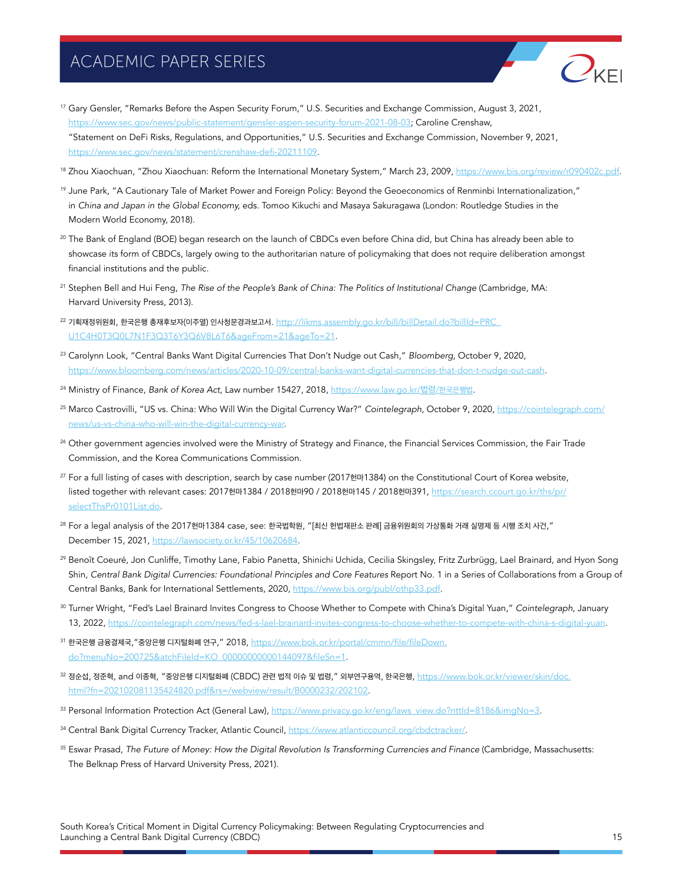

- <sup>17</sup> Gary Gensler, "Remarks Before the Aspen Security Forum," U.S. Securities and Exchange Commission, August 3, 2021, <https://www.sec.gov/news/public-statement/gensler-aspen-security-forum-2021-08-03>; Caroline Crenshaw, "Statement on DeFi Risks, Regulations, and Opportunities," U.S. Securities and Exchange Commission, November 9, 2021, <https://www.sec.gov/news/statement/crenshaw-defi-20211109>.
- <sup>18</sup> Zhou Xiaochuan, "Zhou Xiaochuan: Reform the International Monetary System," March 23, 2009, <https://www.bis.org/review/r090402c.pdf>.
- <sup>19</sup> June Park, "A Cautionary Tale of Market Power and Foreign Policy: Beyond the Geoeconomics of Renminbi Internationalization," in *China and Japan in the Global Economy,* eds. Tomoo Kikuchi and Masaya Sakuragawa (London: Routledge Studies in the Modern World Economy, 2018).
- <sup>20</sup> The Bank of England (BOE) began research on the launch of CBDCs even before China did, but China has already been able to showcase its form of CBDCs, largely owing to the authoritarian nature of policymaking that does not require deliberation amongst financial institutions and the public.
- <sup>21</sup> Stephen Bell and Hui Feng, *The Rise of the People's Bank of China: The Politics of Institutional Change* (Cambridge, MA: Harvard University Press, 2013).
- <sup>22</sup> 기획재정위원회, 한국은행 총재후보자(이주열) 인사청문경과보고서. http://likms.assembly.go.kr/bill/billDetail.do?billId=PRC [U1C4H0T3Q0L7N1F3Q3T6Y3Q6V8L6T6&ageFrom=21&ageTo=21.](http://likms.assembly.go.kr/bill/billDetail.do?billId=PRC_U1C4H0T3Q0L7N1F3Q3T6Y3Q6V8L6T6&ageFrom=21&ageTo=21)
- <sup>23</sup> Carolynn Look, "Central Banks Want Digital Currencies That Don't Nudge out Cash," *Bloomberg,* October 9, 2020, <https://www.bloomberg.com/news/articles/2020-10-09/central-banks-want-digital-currencies-that-don-t-nudge-out-cash>.
- <sup>24</sup> Ministry of Finance, *Bank of Korea Act,* Law number 15427, 2018, [https://www.law.go.kr/](https://www.law.go.kr/법령/한국은행법)법령/한국은행법.
- <sup>25</sup> Marco Castrovilli, "US vs. China: Who Will Win the Digital Currency War?" *Cointelegraph,* October 9, 2020, [https://cointelegraph.com/](https://cointelegraph.com/news/us-vs-china-who-will-win-the-digital-currency-war) [news/us-vs-china-who-will-win-the-digital-currency-war.](https://cointelegraph.com/news/us-vs-china-who-will-win-the-digital-currency-war)
- <sup>26</sup> Other government agencies involved were the Ministry of Strategy and Finance, the Financial Services Commission, the Fair Trade Commission, and the Korea Communications Commission.
- <sup>27</sup> For a full listing of cases with description, search by case number (2017헌마1384) on the Constitutional Court of Korea website, listed together with relevant cases: 2017헌마1384 / 2018헌마90 / 2018헌마145 / 2018헌마391, [https://search.ccourt.go.kr/ths/pr/](https://search.ccourt.go.kr/ths/pr/selectThsPr0101List.do) [selectThsPr0101List.do](https://search.ccourt.go.kr/ths/pr/selectThsPr0101List.do).
- $28$  For a legal analysis of the 2017헌마1384 case, see: 한국법학원, "[최신 헌법재판소 판례] 금융위원회의 가상통화 거래 실명제 등 시행 조치 사건," December 15, 2021, [https://lawsociety.or.kr/45/10620684.](https://lawsociety.or.kr/45/10620684)
- <sup>29</sup> Benoît Coeuré, Jon Cunliffe, Timothy Lane, Fabio Panetta, Shinichi Uchida, Cecilia Skingsley, Fritz Zurbrügg, Lael Brainard, and Hyon Song Shin, *Central Bank Digital Currencies: Foundational Principles and Core Features* Report No. 1 in a Series of Collaborations from a Group of Central Banks, Bank for International Settlements, 2020, [https://www.bis.org/publ/othp33.pdf.](https://www.bis.org/publ/othp33.pdf)
- <sup>30</sup> Turner Wright, "Fed's Lael Brainard Invites Congress to Choose Whether to Compete with China's Digital Yuan," *Cointelegraph,* January 13, 2022, [https://cointelegraph.com/news/fed-s-lael-brainard-invites-congress-to-choose-whether-to-compete-with-china-s-digital-yuan.](https://cointelegraph.com/news/fed-s-lael-brainard-invites-congress-to-choose-whether-to-compete-with-china-s-digital-yuan)
- <sup>31</sup> 한국은행 금융결제국,"중앙은행 디지털화폐 연구," 2018, [https://www.bok.or.kr/portal/cmmn/file/fileDown.](https://www.bok.or.kr/portal/cmmn/file/fileDown.do?menuNo=200725&atchFileId=KO_00000000000144097&fileSn=1) [do?menuNo=200725&atchFileId=KO\\_00000000000144097&fileSn=1](https://www.bok.or.kr/portal/cmmn/file/fileDown.do?menuNo=200725&atchFileId=KO_00000000000144097&fileSn=1).
- <sup>32</sup> 정순섭, 정준혁, and 이종혁, "중앙은행 디지털화폐 (CBDC) 관련 법적 이슈 및 법령," 외부연구용역, 한국은행, [https://www.bok.or.kr/viewer/skin/doc.](https://www.bok.or.kr/viewer/skin/doc.html?fn=202102081135424820.pdf&rs=/webview/result/B0000232/202102) [html?fn=202102081135424820.pdf&rs=/webview/result/B0000232/202102.](https://www.bok.or.kr/viewer/skin/doc.html?fn=202102081135424820.pdf&rs=/webview/result/B0000232/202102)
- 33 Personal Information Protection Act (General Law), [https://www.privacy.go.kr/eng/laws\\_view.do?nttId=8186&imgNo=3.](https://www.privacy.go.kr/eng/laws_view.do?nttId=8186&imgNo=3)
- 34 Central Bank Digital Currency Tracker, Atlantic Council, <https://www.atlanticcouncil.org/cbdctracker/>.
- <sup>35</sup> Eswar Prasad, The Future of Money: How the Digital Revolution Is Transforming Currencies and Finance (Cambridge, Massachusetts: The Belknap Press of Harvard University Press, 2021).